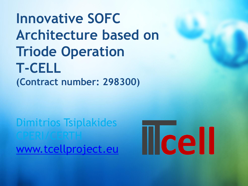# **Innovative SOFC Architecture based on Triode Operation T-CELL (Contract number: 298300)**

Dimitrios Tsiplakides CPERI/CERTH [www.tcellproject.eu](http://www.tcellproject.eu/)

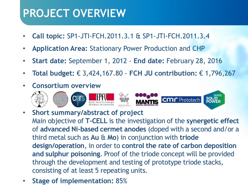### **PROJECT OVERVIEW**

- **Call topic:** SP1-JTI-FCH.2011.3.1 & SP1-JTI-FCH.2011.3.4
- **Application Area:** Stationary Power Production and CHP
- **Start date:** September 1, 2012 **End date:** February 28, 2016
- **Total budget:** € 3,424,167.80 **FCH JU contribution:** € 1,796,267
- **Consortium overview**



- **Short summary/abstract of project** Main objective of **T-CELL** is the investigation of the **synergetic effect**  of **advanced Ni‐based cermet anodes** (doped with a second and/or a third metal such as **Au** & **Mo**) in conjunction with **triode design/operation**, in order to **control the rate of carbon deposition and sulphur poisoning**. Proof of the triode concept will be provided through the development and testing of prototype triode stacks, consisting of at least 5 repeating units.
- **Stage of implementation:** 85%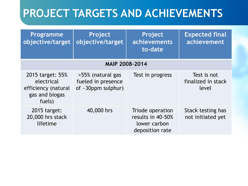| <b>Programme</b><br>objective/target                                              | Project<br>objective/target                                         | Project<br>achievements<br>to-date                                       | <b>Expected final</b><br>achievement       |
|-----------------------------------------------------------------------------------|---------------------------------------------------------------------|--------------------------------------------------------------------------|--------------------------------------------|
|                                                                                   | <b>MAIP 2008-2014</b>                                               |                                                                          |                                            |
| 2015 target: 55%<br>electrical<br>efficiency (natural<br>gas and biogas<br>fuels) | >55% (natural gas<br>fueled in presence<br>of $\sim$ 30ppm sulphur) | Test in progress                                                         | Test is not<br>finalized in stack<br>level |
| 2015 target:<br>20,000 hrs stack<br>lifetime                                      | 40,000 hrs                                                          | Triode operation<br>results in 40-50%<br>lower carbon<br>deposition rate | Stack testing has<br>not initiated yet     |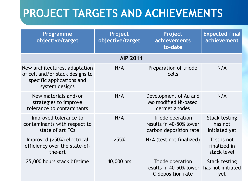| <b>Programme</b><br>objective/target                                                                            | Project<br>objective/target | Project<br>achievements<br>to-date                                    | <b>Expected final</b><br>achievement             |
|-----------------------------------------------------------------------------------------------------------------|-----------------------------|-----------------------------------------------------------------------|--------------------------------------------------|
|                                                                                                                 | <b>AIP 2011</b>             |                                                                       |                                                  |
| New architectures, adaptation<br>of cell and/or stack designs to<br>specific applications and<br>system designs | N/A                         | Preparation of triode<br>cells                                        | N/A                                              |
| New materials and/or<br>strategies to improve<br>tolerance to contaminants                                      | N/A                         | Development of Au and<br>Mo modified Ni-based<br>cermet anodes        | N/A                                              |
| Improved tolerance to<br>contaminants with respect to<br>state of art FCs                                       | N/A                         | Triode operation<br>results in 40-50% lower<br>carbon deposition rate | <b>Stack testing</b><br>has not<br>initiated yet |
| Improved (>50%) electrical<br>efficiency over the state-of-<br>the-art                                          | $>55\%$                     | N/A (test not finalized)                                              | Test is not<br>finalized in<br>stack level       |
| 25,000 hours stack lifetime                                                                                     | 40,000 hrs                  | Triode operation<br>results in 40-50% lower<br>C deposition rate      | <b>Stack testing</b><br>has not initiated<br>yet |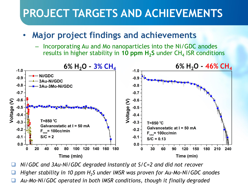### • **Major project findings and achievements**

– Incorporating Au and Mo nanoparticles into the Ni/GDC anodes results in higher stability in 10 ppm H<sub>2</sub>S under CH<sub>4</sub> ISR conditions



*Ni/GDC and 3Au-Ni/GDC degraded instantly at S/C=2 and did not recover*

*Higher stability in 10 ppm H<sup>2</sup> S under IMSR was proven for Au-Mo-Ni/GDC anodes*

*Au-Mo-Ni/GDC operated in both IMSR conditions, though it finally degraded*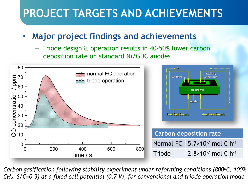### • **Major project findings and achievements**

– Triode design & operation results in 40‐50% lower carbon deposition rate on standard Ni/GDC anodes



*Carbon gasification following stability experiment under reforming conditions (800<sup>o</sup>C, 100% CH<sup>4</sup> , S/C=0.3) at a fixed cell potential (0.7 V), for conventional and triode operation mode*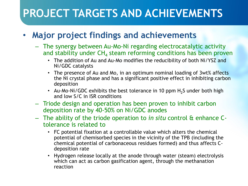### • **Major project findings and achievements**

- The synergy between Au-Mo-Ni regarding electrocatalytic activity and stability under  $\mathsf{CH}_4$  steam reforming conditions has been proven
	- The addition of Au and Au-Mo modifies the reducibility of both Ni/YSZ and Ni/GDC catalysts
	- The presence of Au and Mo, in an optimum nominal loading of 3wt% affects the Ni crystal phase and has a significant positive effect in inhibiting carbon deposition
	- Au-Mo-Ni/GDC exhibits the best tolerance in 10 ppm  $H_2S$  under both high and low S/C in ISR conditions
- Triode design and operation has been proven to inhibit carbon deposition rate by 40‐50% on Ni/GDC anodes
- The ability of the triode operation to *in situ* control & enhance Ctolerance is related to
	- FC potential fixation at a controllable value which alters the chemical potential of chemisorbed species in the vicinity of the TPB (including the chemical potential of carbonaceous residues formed) and thus affects Cdeposition rate
	- Hydrogen release locally at the anode through water (steam) electrolysis which can act as carbon gasification agent, through the methanation reaction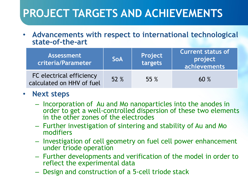#### • **Advancements with respect to international technological state-of-the-art**

| <b>Assessment</b><br>criteria/Parameter               | <b>SoA</b> | Project<br>targets | <b>Current status of</b><br>project<br>achievements |
|-------------------------------------------------------|------------|--------------------|-----------------------------------------------------|
| FC electrical efficiency<br>calculated on HHV of fuel | 52 %       | 55 %               | 60%                                                 |

#### • **Next steps**

- Incorporation of Au and Mo nanoparticles into the anodes in order to get a well-controlled dispersion of these two elements in the other zones of the electrodes
- Further investigation of sintering and stability of Au and Mo modifiers
- Investigation of cell geometry on fuel cell power enhancement under triode operation
- Further developments and verification of the model in order to reflect the experimental data
- Design and construction of a 5-cell triode stack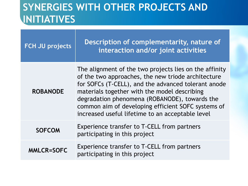### **SYNERGIES WITH OTHER PROJECTS AND INITIATIVES**

| <b>FCH JU projects</b> | Description of complementarity, nature of<br>interaction and/or joint activities                                                                                                                                                                                                                                                                                               |
|------------------------|--------------------------------------------------------------------------------------------------------------------------------------------------------------------------------------------------------------------------------------------------------------------------------------------------------------------------------------------------------------------------------|
| <b>ROBANODE</b>        | The alignment of the two projects lies on the affinity<br>of the two approaches, the new triode architecture<br>for SOFCs (T-CELL), and the advanced tolerant anode<br>materials together with the model describing<br>degradation phenomena (ROBANODE), towards the<br>common aim of developing efficient SOFC systems of<br>increased useful lifetime to an acceptable level |
| <b>SOFCOM</b>          | Experience transfer to T-CELL from partners<br>participating in this project                                                                                                                                                                                                                                                                                                   |
| <b>MMLCR=SOFC</b>      | Experience transfer to T-CELL from partners<br>participating in this project                                                                                                                                                                                                                                                                                                   |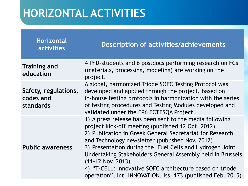## **HORIZONTAL ACTIVITIES**

| <b>Horizontal</b><br><b>activities</b>         | <b>Description of activities/achievements</b>                                                                                                                                                                                                                                                                                                                                                                                                                                                              |
|------------------------------------------------|------------------------------------------------------------------------------------------------------------------------------------------------------------------------------------------------------------------------------------------------------------------------------------------------------------------------------------------------------------------------------------------------------------------------------------------------------------------------------------------------------------|
| <b>Training and</b><br>education               | 4 PhD-students and 6 postdocs performing research on FCs<br>(materials, processing, modeling) are working on the<br>project.                                                                                                                                                                                                                                                                                                                                                                               |
| Safety, regulations,<br>codes and<br>standards | A global, harmonized Triode SOFC Testing Protocol was<br>developed and applied through the project, based on<br>in-house testing protocols in harmonization with the series<br>of testing procedures and Testing Modules developed and<br>validated under the FP6 FCTESQA Project.                                                                                                                                                                                                                         |
| <b>Public awareness</b>                        | 1) A press release has been sent to the media following<br>project kick-off meeting (published 12 Oct. 2012)<br>2) Publication in Greek General Secretariat for Research<br>and Technology newsletter (published Nov. 2012)<br>3) Presentation during the "Fuel Cells and Hydrogen Joint<br>Undertaking Stakeholders General Assembly held in Brussels<br>$(11 - 12$ Nov. 2013)<br>4) "T-CELL: Innovative SOFC architecture based on triode<br>operation", Int. INNOVATION, Iss. 173 (published Feb. 2015) |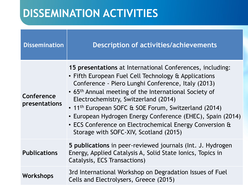## **DISSEMINATION ACTIVITIES**

| <b>Dissemination</b>               | <b>Description of activities/achievements</b>                                                                                                                                                                                                                                                                                                                                                                                                                                                                               |
|------------------------------------|-----------------------------------------------------------------------------------------------------------------------------------------------------------------------------------------------------------------------------------------------------------------------------------------------------------------------------------------------------------------------------------------------------------------------------------------------------------------------------------------------------------------------------|
| Conference<br><b>presentations</b> | 15 presentations at International Conferences, including:<br>• Fifth European Fuel Cell Technology & Applications<br>Conference - Piero Lunghi Conference, Italy (2013)<br>• 65 <sup>th</sup> Annual meeting of the International Society of<br>Electrochemistry, Switzerland (2014)<br>• 11 <sup>th</sup> European SOFC & SOE Forum, Switzerland (2014)<br>• European Hydrogen Energy Conference (EHEC), Spain (2014)<br>• ECS Conference on Electrochemical Energy Conversion &<br>Storage with SOFC-XIV, Scotland (2015) |
| <b>Publications</b>                | 5 publications in peer-reviewed journals (Int. J. Hydrogen<br>Energy, Applied Catalysis A, Solid State Ionics, Topics in<br>Catalysis, ECS Transactions)                                                                                                                                                                                                                                                                                                                                                                    |
| Workshops                          | 3rd International Workshop on Degradation Issues of Fuel<br>Cells and Electrolysers, Greece (2015)                                                                                                                                                                                                                                                                                                                                                                                                                          |